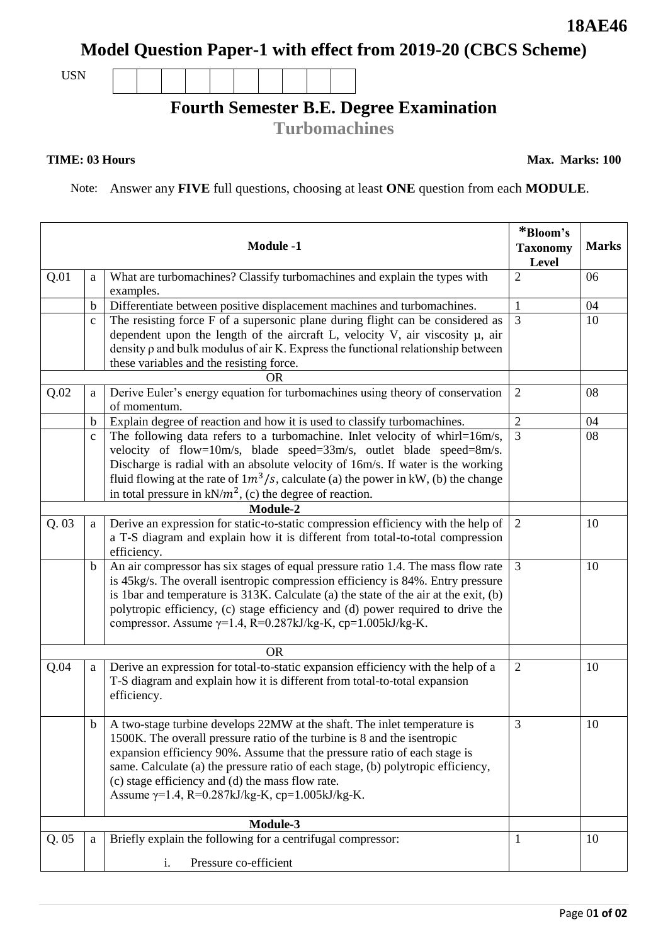# **18AE46**

**Model Question Paper-1 with effect from 2019-20 (CBCS Scheme)**

USN

## **Fourth Semester B.E. Degree Examination**

**Turbomachines**

#### **TIME: 03 Hours**

**Max. Marks: 100**

Note: Answer any **FIVE** full questions, choosing at least **ONE** question from each **MODULE**.

|           |              | <b>Module -1</b>                                                                                                                                                                                                                                                                                                                                                                                                                    | *Bloom's<br><b>Taxonomy</b><br>Level | <b>Marks</b> |
|-----------|--------------|-------------------------------------------------------------------------------------------------------------------------------------------------------------------------------------------------------------------------------------------------------------------------------------------------------------------------------------------------------------------------------------------------------------------------------------|--------------------------------------|--------------|
| Q.01      | a            | What are turbomachines? Classify turbomachines and explain the types with<br>examples.                                                                                                                                                                                                                                                                                                                                              | $\overline{2}$                       | 06           |
|           | b            | Differentiate between positive displacement machines and turbomachines.                                                                                                                                                                                                                                                                                                                                                             | -1                                   | 04           |
|           | $\mathbf{C}$ | The resisting force F of a supersonic plane during flight can be considered as                                                                                                                                                                                                                                                                                                                                                      | 3                                    | 10           |
|           |              | dependent upon the length of the aircraft L, velocity V, air viscosity $\mu$ , air<br>density $\rho$ and bulk modulus of air K. Express the functional relationship between<br>these variables and the resisting force.                                                                                                                                                                                                             |                                      |              |
|           |              | <b>OR</b>                                                                                                                                                                                                                                                                                                                                                                                                                           |                                      |              |
| Q.02      | a            | Derive Euler's energy equation for turbomachines using theory of conservation<br>of momentum.                                                                                                                                                                                                                                                                                                                                       | $\overline{2}$                       | 08           |
|           | b            | Explain degree of reaction and how it is used to classify turbomachines.                                                                                                                                                                                                                                                                                                                                                            | $\boldsymbol{2}$                     | 04           |
|           | $\mathbf{C}$ | The following data refers to a turbomachine. Inlet velocity of whirl=16m/s,<br>velocity of flow=10m/s, blade speed=33m/s, outlet blade speed=8m/s.<br>Discharge is radial with an absolute velocity of 16m/s. If water is the working<br>fluid flowing at the rate of $1m^3/s$ , calculate (a) the power in kW, (b) the change<br>in total pressure in $kN/m^2$ , (c) the degree of reaction.<br>Module-2                           | 3                                    | 08           |
|           |              |                                                                                                                                                                                                                                                                                                                                                                                                                                     |                                      |              |
| Q.03      | a            | Derive an expression for static-to-static compression efficiency with the help of<br>a T-S diagram and explain how it is different from total-to-total compression<br>efficiency.                                                                                                                                                                                                                                                   | 2                                    | 10           |
|           | b            | An air compressor has six stages of equal pressure ratio 1.4. The mass flow rate<br>is 45kg/s. The overall isentropic compression efficiency is 84%. Entry pressure<br>is 1bar and temperature is 313K. Calculate (a) the state of the air at the exit, (b)<br>polytropic efficiency, (c) stage efficiency and (d) power required to drive the<br>compressor. Assume $\gamma$ =1.4, R=0.287kJ/kg-K, cp=1.005kJ/kg-K.                | 3                                    | 10           |
| <b>OR</b> |              |                                                                                                                                                                                                                                                                                                                                                                                                                                     |                                      |              |
| Q.04      | a            | Derive an expression for total-to-static expansion efficiency with the help of a<br>T-S diagram and explain how it is different from total-to-total expansion<br>efficiency.                                                                                                                                                                                                                                                        | $\overline{2}$                       | 10           |
|           | b            | A two-stage turbine develops 22MW at the shaft. The inlet temperature is<br>1500K. The overall pressure ratio of the turbine is 8 and the isentropic<br>expansion efficiency 90%. Assume that the pressure ratio of each stage is<br>same. Calculate (a) the pressure ratio of each stage, (b) polytropic efficiency,<br>(c) stage efficiency and (d) the mass flow rate.<br>Assume $\gamma$ =1.4, R=0.287kJ/kg-K, cp=1.005kJ/kg-K. | 3                                    | 10           |
|           |              |                                                                                                                                                                                                                                                                                                                                                                                                                                     |                                      |              |
| Q.05      | a            | Briefly explain the following for a centrifugal compressor:                                                                                                                                                                                                                                                                                                                                                                         | -1                                   | 10           |
|           |              | Pressure co-efficient<br>i.                                                                                                                                                                                                                                                                                                                                                                                                         |                                      |              |